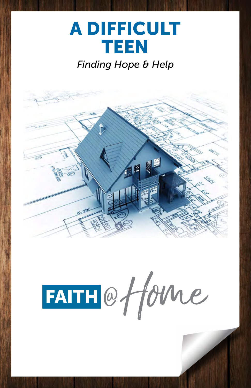# **A DIFFICULT** TEEN

### *Finding Hope & Help*



FAITH@fforme

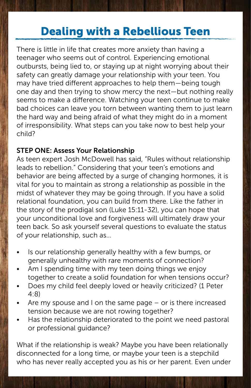### Dealing with a Rebellious Teen

There is little in life that creates more anxiety than having a teenager who seems out of control. Experiencing emotional outbursts, being lied to, or staying up at night worrying about their safety can greatly damage your relationship with your teen. You may have tried different approaches to help them—being tough one day and then trying to show mercy the next—but nothing really seems to make a difference. Watching your teen continue to make bad choices can leave you torn between wanting them to just learn the hard way and being afraid of what they might do in a moment of irresponsibility. What steps can you take now to best help your child?

#### STEP ONE: Assess Your Relationship

As teen expert Josh McDowell has said, "Rules without relationship leads to rebellion." Considering that your teen's emotions and behavior are being affected by a surge of changing hormones, it is vital for you to maintain as strong a relationship as possible in the midst of whatever they may be going through. If you have a solid relational foundation, you can build from there. Like the father in the story of the prodigal son (Luke 15:11-32), you can hope that your unconditional love and forgiveness will ultimately draw your teen back. So ask yourself several questions to evaluate the status of your relationship, such as…

- Is our relationship generally healthy with a few bumps, or generally unhealthy with rare moments of connection?
- Am I spending time with my teen doing things we enjoy together to create a solid foundation for when tensions occur?
- Does my child feel deeply loved or heavily criticized? (1 Peter 4:8)
- Are my spouse and I on the same page  $-$  or is there increased tension because we are not rowing together?
- Has the relationship deteriorated to the point we need pastoral or professional guidance?

What if the relationship is weak? Maybe you have been relationally disconnected for a long time, or maybe your teen is a stepchild who has never really accepted you as his or her parent. Even under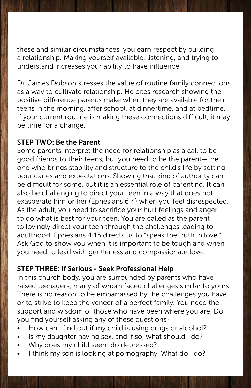these and similar circumstances, you earn respect by building a relationship. Making yourself available, listening, and trying to understand increases your ability to have influence.

Dr. James Dobson stresses the value of routine family connections as a way to cultivate relationship. He cites research showing the positive difference parents make when they are available for their teens in the morning, after school, at dinnertime, and at bedtime. If your current routine is making these connections difficult, it may be time for a change.

#### STEP TWO: Be the Parent

Some parents interpret the need for relationship as a call to be good friends to their teens, but you need to be the parent—the one who brings stability and structure to the child's life by setting boundaries and expectations. Showing that kind of authority can be difficult for some, but it is an essential role of parenting. It can also be challenging to direct your teen in a way that does not exasperate him or her (Ephesians 6:4) when you feel disrespected. As the adult, you need to sacrifice your hurt feelings and anger to do what is best for your teen. You are called as the parent to lovingly direct your teen through the challenges leading to adulthood. Ephesians 4:15 directs us to "speak the truth in love." Ask God to show you when it is important to be tough and when you need to lead with gentleness and compassionate love.

#### STEP THREE: If Serious - Seek Professional Help

In this church body, you are surrounded by parents who have raised teenagers; many of whom faced challenges similar to yours. There is no reason to be embarrassed by the challenges you have or to strive to keep the veneer of a perfect family. You need the support and wisdom of those who have been where you are. Do you find yourself asking any of these questions?

- How can I find out if my child is using drugs or alcohol?
- Is my daughter having sex, and if so, what should I do?
- Why does my child seem do depressed?
- I think my son is looking at pornography. What do I do?